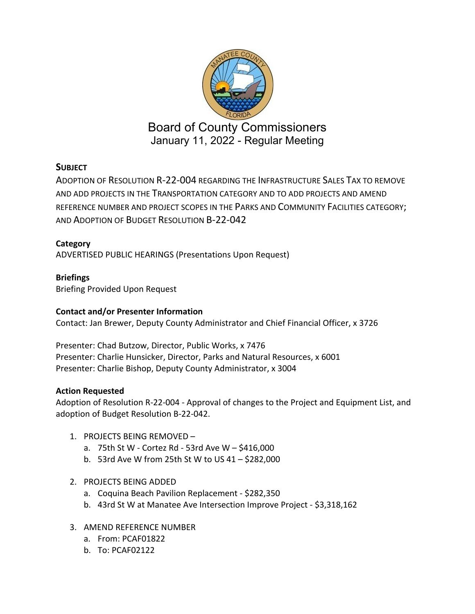

January 11, 2022 - Regular Meeting

# **SUBJECT**

ADOPTION OF RESOLUTION R-22-004 REGARDING THE INFRASTRUCTURE SALES TAX TO REMOVE AND ADD PROJECTS IN THE TRANSPORTATION CATEGORY AND TO ADD PROJECTS AND AMEND REFERENCE NUMBER AND PROJECT SCOPES IN THE PARKS AND COMMUNITY FACILITIES CATEGORY; AND ADOPTION OF BUDGET RESOLUTION B-22-042

# **Category**

ADVERTISED PUBLIC HEARINGS (Presentations Upon Request)

# **Briefings**

Briefing Provided Upon Request

# **Contact and/or Presenter Information**

Contact: Jan Brewer, Deputy County Administrator and Chief Financial Officer, x 3726

Presenter: Chad Butzow, Director, Public Works, x 7476 Presenter: Charlie Hunsicker, Director, Parks and Natural Resources, x 6001 Presenter: Charlie Bishop, Deputy County Administrator, x 3004

## **Action Requested**

Adoption of Resolution R-22-004 - Approval of changes to the Project and Equipment List, and adoption of Budget Resolution B-22-042.

- 1. PROJECTS BEING REMOVED
	- a. 75th St W Cortez Rd 53rd Ave W \$416,000
	- b. 53rd Ave W from 25th St W to US 41 \$282,000
- 2. PROJECTS BEING ADDED
	- a. Coquina Beach Pavilion Replacement \$282,350
	- b. 43rd St W at Manatee Ave Intersection Improve Project \$3,318,162
- 3. AMEND REFERENCE NUMBER
	- a. From: PCAF01822
	- b. To: PCAF02122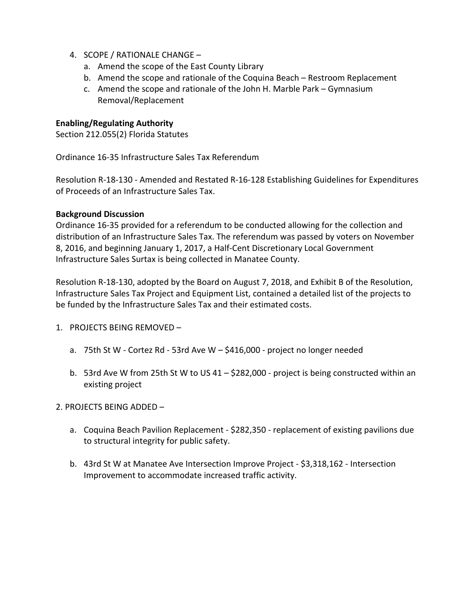- 4. SCOPE / RATIONALE CHANGE
	- a. Amend the scope of the East County Library
	- b. Amend the scope and rationale of the Coquina Beach Restroom Replacement
	- c. Amend the scope and rationale of the John H. Marble Park Gymnasium Removal/Replacement

## **Enabling/Regulating Authority**

Section 212.055(2) Florida Statutes

Ordinance 16-35 Infrastructure Sales Tax Referendum

Resolution R-18-130 - Amended and Restated R-16-128 Establishing Guidelines for Expenditures of Proceeds of an Infrastructure Sales Tax.

#### **Background Discussion**

Ordinance 16-35 provided for a referendum to be conducted allowing for the collection and distribution of an Infrastructure Sales Tax. The referendum was passed by voters on November 8, 2016, and beginning January 1, 2017, a Half-Cent Discretionary Local Government Infrastructure Sales Surtax is being collected in Manatee County.

Resolution R-18-130, adopted by the Board on August 7, 2018, and Exhibit B of the Resolution, Infrastructure Sales Tax Project and Equipment List, contained a detailed list of the projects to be funded by the Infrastructure Sales Tax and their estimated costs.

- 1. PROJECTS BEING REMOVED
	- a. 75th St W Cortez Rd 53rd Ave W \$416,000 project no longer needed
	- b. 53rd Ave W from 25th St W to US 41 \$282,000 project is being constructed within an existing project

2. PROJECTS BEING ADDED –

- a. Coquina Beach Pavilion Replacement \$282,350 replacement of existing pavilions due to structural integrity for public safety.
- b. 43rd St W at Manatee Ave Intersection Improve Project \$3,318,162 Intersection Improvement to accommodate increased traffic activity.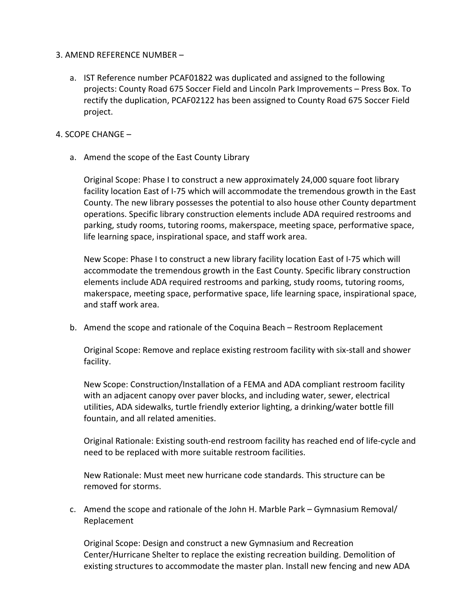## 3. AMEND REFERENCE NUMBER –

a. IST Reference number PCAF01822 was duplicated and assigned to the following projects: County Road 675 Soccer Field and Lincoln Park Improvements – Press Box. To rectify the duplication, PCAF02122 has been assigned to County Road 675 Soccer Field project.

## 4. SCOPE CHANGE –

a. Amend the scope of the East County Library

Original Scope: Phase I to construct a new approximately 24,000 square foot library facility location East of I-75 which will accommodate the tremendous growth in the East County. The new library possesses the potential to also house other County department operations. Specific library construction elements include ADA required restrooms and parking, study rooms, tutoring rooms, makerspace, meeting space, performative space, life learning space, inspirational space, and staff work area.

New Scope: Phase I to construct a new library facility location East of I-75 which will accommodate the tremendous growth in the East County. Specific library construction elements include ADA required restrooms and parking, study rooms, tutoring rooms, makerspace, meeting space, performative space, life learning space, inspirational space, and staff work area.

b. Amend the scope and rationale of the Coquina Beach – Restroom Replacement

Original Scope: Remove and replace existing restroom facility with six-stall and shower facility.

New Scope: Construction/Installation of a FEMA and ADA compliant restroom facility with an adjacent canopy over paver blocks, and including water, sewer, electrical utilities, ADA sidewalks, turtle friendly exterior lighting, a drinking/water bottle fill fountain, and all related amenities.

Original Rationale: Existing south-end restroom facility has reached end of life-cycle and need to be replaced with more suitable restroom facilities.

New Rationale: Must meet new hurricane code standards. This structure can be removed for storms.

c. Amend the scope and rationale of the John H. Marble Park – Gymnasium Removal/ Replacement

Original Scope: Design and construct a new Gymnasium and Recreation Center/Hurricane Shelter to replace the existing recreation building. Demolition of existing structures to accommodate the master plan. Install new fencing and new ADA